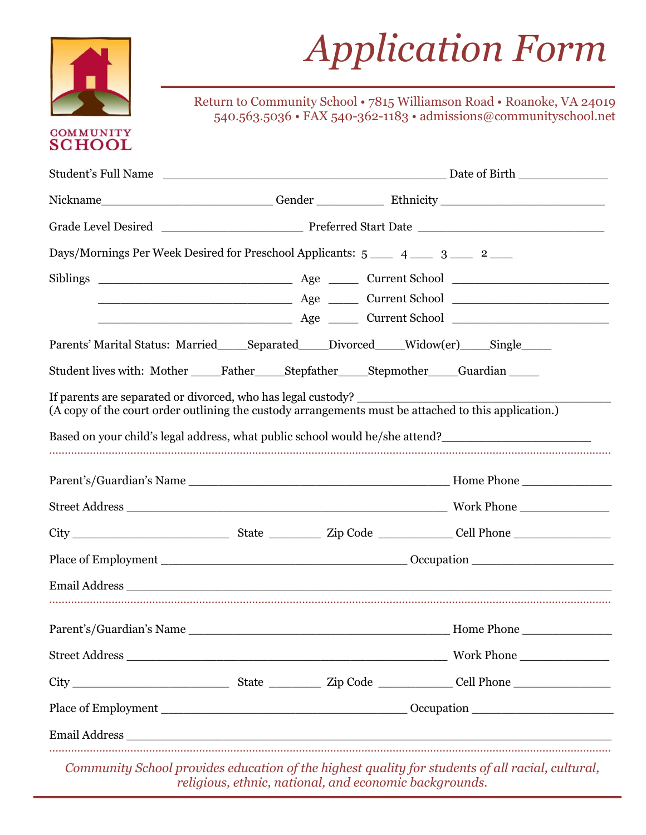

# *Application Form Application Form*

**EXECUTE TO COMMUNITY**<br>540.563.5036 Return to Community School • 7815 Williamson Road • Roanoke, VA 24019 540.563.5036 • FAX 540-362-1183 • admissions@communityschool.net

## **COMMUNITY SCHOOL**

| Days/Mornings Per Week Desired for Preschool Applicants: 5 ___ 4 __ 3 __ 2 __                                                                                                                                                                                                          |  |                                                                              |
|----------------------------------------------------------------------------------------------------------------------------------------------------------------------------------------------------------------------------------------------------------------------------------------|--|------------------------------------------------------------------------------|
|                                                                                                                                                                                                                                                                                        |  |                                                                              |
| Parents' Marital Status: Married_____Separated_____Divorced_____Widow(er)_____Single_____                                                                                                                                                                                              |  |                                                                              |
| Student lives with: Mother _____Father _____Stepfather _____Stepmother _____Guardian _____<br>If parents are separated or divorced, who has legal custody? ___________________<br>(A copy of the court order outlining the custody arrangements must be attached to this application.) |  |                                                                              |
|                                                                                                                                                                                                                                                                                        |  |                                                                              |
|                                                                                                                                                                                                                                                                                        |  | Based on your child's legal address, what public school would he/she attend? |
|                                                                                                                                                                                                                                                                                        |  |                                                                              |
|                                                                                                                                                                                                                                                                                        |  |                                                                              |
|                                                                                                                                                                                                                                                                                        |  |                                                                              |
|                                                                                                                                                                                                                                                                                        |  |                                                                              |
|                                                                                                                                                                                                                                                                                        |  |                                                                              |
|                                                                                                                                                                                                                                                                                        |  |                                                                              |
|                                                                                                                                                                                                                                                                                        |  |                                                                              |
|                                                                                                                                                                                                                                                                                        |  |                                                                              |
|                                                                                                                                                                                                                                                                                        |  |                                                                              |

**\_\_\_\_\_\_\_\_\_\_\_\_\_\_\_\_\_\_\_\_\_\_** *Community School provides education of the highest quality for students of all racial, cultural, religious, ethnic, national, and economic backgrounds.*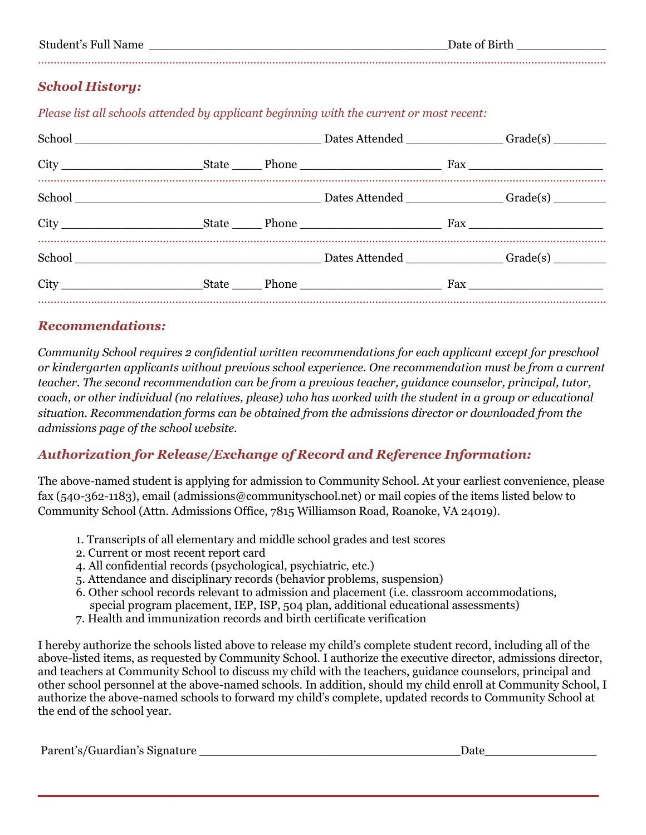## *School History:*

*Please list all schools attended by applicant beginning with the current or most recent:*

………………………………………………………………………………………………………………………………………………………………..

#### *Recommendations:*

*Community School requires 2 confidential written recommendations for each applicant except for preschool or kindergarten applicants without previous school experience. One recommendation must be from a current teacher. The second recommendation can be from a previous teacher, guidance counselor, principal, tutor, coach, or other individual (no relatives, please) who has worked with the student in a group or educational situation. Recommendation forms can be obtained from the admissions director or downloaded from the admissions page of the school website.*

## *Authorization for Release/Exchange of Record and Reference Information:*

The above-named student is applying for admission to Community School. At your earliest convenience, please fax (540-362-1183), email (admissions@communityschool.net) or mail copies of the items listed below to Community School (Attn. Admissions Office, 7815 Williamson Road, Roanoke, VA 24019).

- 1. Transcripts of all elementary and middle school grades and test scores
- 2. Current or most recent report card
- 4. All confidential records (psychological, psychiatric, etc.)
- 5. Attendance and disciplinary records (behavior problems, suspension)
- 6. Other school records relevant to admission and placement (i.e. classroom accommodations, special program placement, IEP, ISP, 504 plan, additional educational assessments)
- 7. Health and immunization records and birth certificate verification

I hereby authorize the schools listed above to release my child's complete student record, including all of the above-listed items, as requested by Community School. I authorize the executive director, admissions director, and teachers at Community School to discuss my child with the teachers, guidance counselors, principal and other school personnel at the above-named schools. In addition, should my child enroll at Community School, I authorize the above-named schools to forward my child's complete, updated records to Community School at the end of the school year.

**\_\_\_\_\_\_\_\_\_\_\_\_\_\_\_\_\_\_\_\_\_**

Parent's/Guardian's Signature the contraction of the contraction of the contraction of the contraction of the contraction of the contraction of the contraction of the contraction of the contraction of the contraction of th